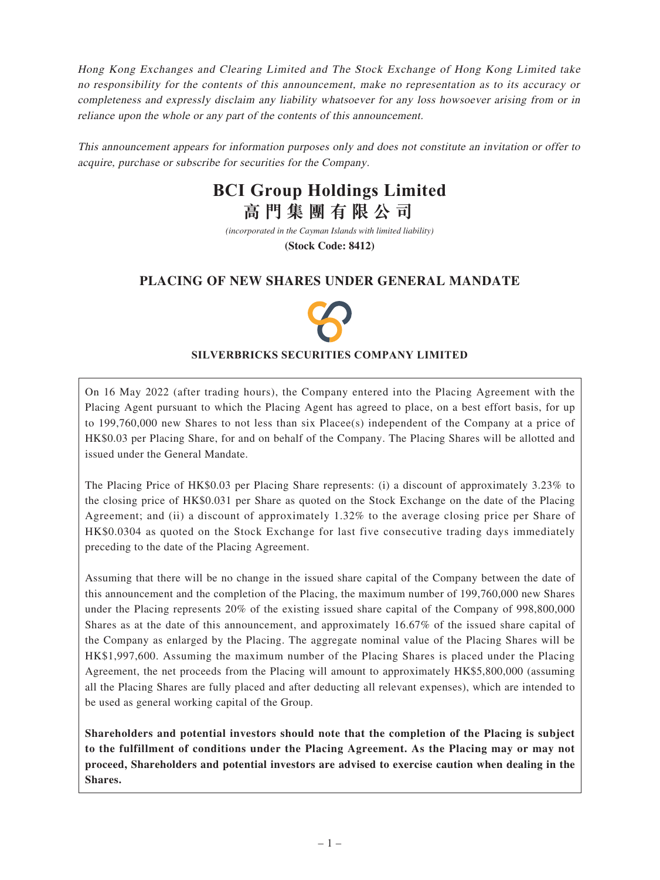Hong Kong Exchanges and Clearing Limited and The Stock Exchange of Hong Kong Limited take no responsibility for the contents of this announcement, make no representation as to its accuracy or completeness and expressly disclaim any liability whatsoever for any loss howsoever arising from or in reliance upon the whole or any part of the contents of this announcement.

This announcement appears for information purposes only and does not constitute an invitation or offer to acquire, purchase or subscribe for securities for the Company.

# **BCI Group Holdings Limited 高門集團有限公司**

*(incorporated in the Cayman Islands with limited liability)*

**(Stock Code: 8412)**

# **PLACING OF NEW SHARES UNDER GENERAL MANDATE**



### **SILVERBRICKS SECURITIES COMPANY LIMITED**

On 16 May 2022 (after trading hours), the Company entered into the Placing Agreement with the Placing Agent pursuant to which the Placing Agent has agreed to place, on a best effort basis, for up to 199,760,000 new Shares to not less than six Placee(s) independent of the Company at a price of HK\$0.03 per Placing Share, for and on behalf of the Company. The Placing Shares will be allotted and issued under the General Mandate.

The Placing Price of HK\$0.03 per Placing Share represents: (i) a discount of approximately 3.23% to the closing price of HK\$0.031 per Share as quoted on the Stock Exchange on the date of the Placing Agreement; and (ii) a discount of approximately 1.32% to the average closing price per Share of HK\$0.0304 as quoted on the Stock Exchange for last five consecutive trading days immediately preceding to the date of the Placing Agreement.

Assuming that there will be no change in the issued share capital of the Company between the date of this announcement and the completion of the Placing, the maximum number of 199,760,000 new Shares under the Placing represents 20% of the existing issued share capital of the Company of 998,800,000 Shares as at the date of this announcement, and approximately 16.67% of the issued share capital of the Company as enlarged by the Placing. The aggregate nominal value of the Placing Shares will be HK\$1,997,600. Assuming the maximum number of the Placing Shares is placed under the Placing Agreement, the net proceeds from the Placing will amount to approximately HK\$5,800,000 (assuming all the Placing Shares are fully placed and after deducting all relevant expenses), which are intended to be used as general working capital of the Group.

**Shareholders and potential investors should note that the completion of the Placing is subject to the fulfillment of conditions under the Placing Agreement. As the Placing may or may not proceed, Shareholders and potential investors are advised to exercise caution when dealing in the Shares.**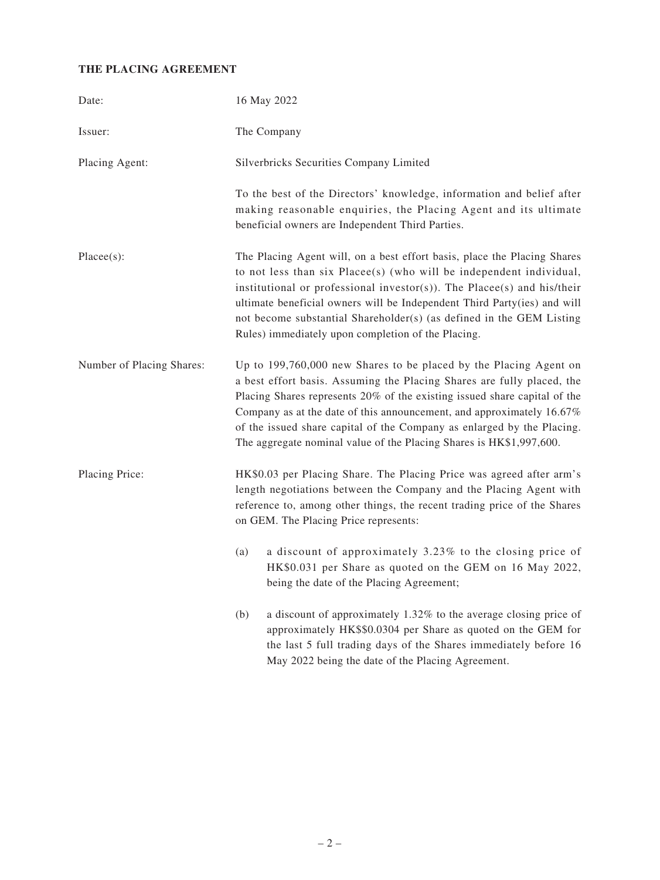# **THE PLACING AGREEMENT**

| Date:                     | 16 May 2022                                                                                                                                                                                                                                                                                                                                                                                                                                        |
|---------------------------|----------------------------------------------------------------------------------------------------------------------------------------------------------------------------------------------------------------------------------------------------------------------------------------------------------------------------------------------------------------------------------------------------------------------------------------------------|
| Issuer:                   | The Company                                                                                                                                                                                                                                                                                                                                                                                                                                        |
| Placing Agent:            | Silverbricks Securities Company Limited                                                                                                                                                                                                                                                                                                                                                                                                            |
|                           | To the best of the Directors' knowledge, information and belief after<br>making reasonable enquiries, the Placing Agent and its ultimate<br>beneficial owners are Independent Third Parties.                                                                                                                                                                                                                                                       |
| $Place(s)$ :              | The Placing Agent will, on a best effort basis, place the Placing Shares<br>to not less than six Placee(s) (who will be independent individual,<br>institutional or professional investor(s)). The Placee(s) and his/their<br>ultimate beneficial owners will be Independent Third Party(ies) and will<br>not become substantial Shareholder(s) (as defined in the GEM Listing<br>Rules) immediately upon completion of the Placing.               |
| Number of Placing Shares: | Up to 199,760,000 new Shares to be placed by the Placing Agent on<br>a best effort basis. Assuming the Placing Shares are fully placed, the<br>Placing Shares represents 20% of the existing issued share capital of the<br>Company as at the date of this announcement, and approximately 16.67%<br>of the issued share capital of the Company as enlarged by the Placing.<br>The aggregate nominal value of the Placing Shares is HK\$1,997,600. |
| Placing Price:            | HK\$0.03 per Placing Share. The Placing Price was agreed after arm's<br>length negotiations between the Company and the Placing Agent with<br>reference to, among other things, the recent trading price of the Shares<br>on GEM. The Placing Price represents:                                                                                                                                                                                    |
|                           | a discount of approximately 3.23% to the closing price of<br>(a)<br>HK\$0.031 per Share as quoted on the GEM on 16 May 2022,<br>being the date of the Placing Agreement;                                                                                                                                                                                                                                                                           |
|                           | (b)<br>a discount of approximately 1.32% to the average closing price of<br>approximately HK\$\$0.0304 per Share as quoted on the GEM for<br>the last 5 full trading days of the Shares immediately before 16<br>May 2022 being the date of the Placing Agreement.                                                                                                                                                                                 |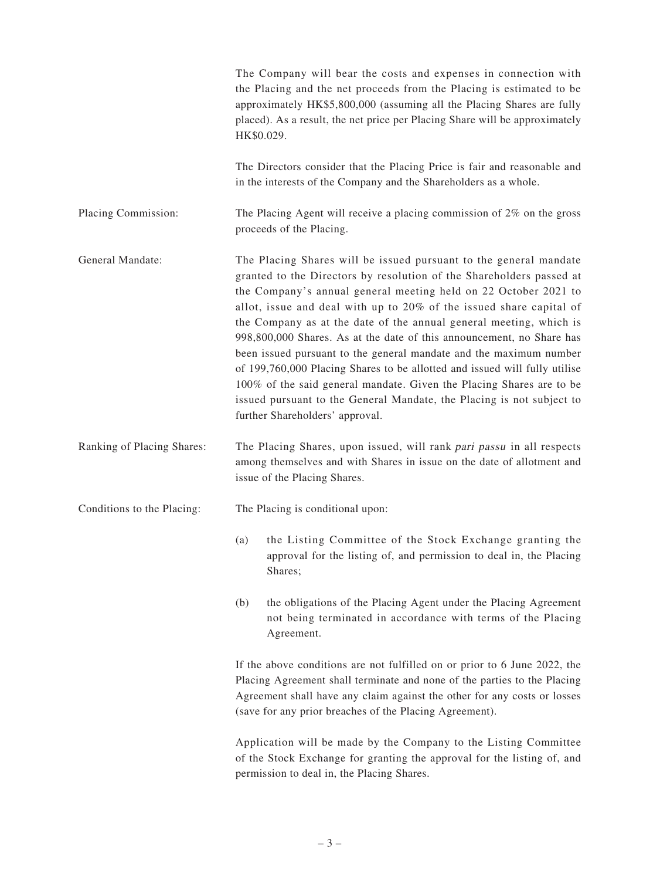|                            | HK\$0.029. | The Company will bear the costs and expenses in connection with<br>the Placing and the net proceeds from the Placing is estimated to be<br>approximately HK\$5,800,000 (assuming all the Placing Shares are fully<br>placed). As a result, the net price per Placing Share will be approximately                                                                                                                                                                                                                                                                                                                                                                                                                                                                           |
|----------------------------|------------|----------------------------------------------------------------------------------------------------------------------------------------------------------------------------------------------------------------------------------------------------------------------------------------------------------------------------------------------------------------------------------------------------------------------------------------------------------------------------------------------------------------------------------------------------------------------------------------------------------------------------------------------------------------------------------------------------------------------------------------------------------------------------|
|                            |            | The Directors consider that the Placing Price is fair and reasonable and<br>in the interests of the Company and the Shareholders as a whole.                                                                                                                                                                                                                                                                                                                                                                                                                                                                                                                                                                                                                               |
| Placing Commission:        |            | The Placing Agent will receive a placing commission of $2\%$ on the gross<br>proceeds of the Placing.                                                                                                                                                                                                                                                                                                                                                                                                                                                                                                                                                                                                                                                                      |
| General Mandate:           |            | The Placing Shares will be issued pursuant to the general mandate<br>granted to the Directors by resolution of the Shareholders passed at<br>the Company's annual general meeting held on 22 October 2021 to<br>allot, issue and deal with up to 20% of the issued share capital of<br>the Company as at the date of the annual general meeting, which is<br>998,800,000 Shares. As at the date of this announcement, no Share has<br>been issued pursuant to the general mandate and the maximum number<br>of 199,760,000 Placing Shares to be allotted and issued will fully utilise<br>100% of the said general mandate. Given the Placing Shares are to be<br>issued pursuant to the General Mandate, the Placing is not subject to<br>further Shareholders' approval. |
| Ranking of Placing Shares: |            | The Placing Shares, upon issued, will rank pari passu in all respects<br>among themselves and with Shares in issue on the date of allotment and<br>issue of the Placing Shares.                                                                                                                                                                                                                                                                                                                                                                                                                                                                                                                                                                                            |
| Conditions to the Placing: |            | The Placing is conditional upon:                                                                                                                                                                                                                                                                                                                                                                                                                                                                                                                                                                                                                                                                                                                                           |
|                            | (a)        | the Listing Committee of the Stock Exchange granting the<br>approval for the listing of, and permission to deal in, the Placing<br>Shares;                                                                                                                                                                                                                                                                                                                                                                                                                                                                                                                                                                                                                                 |
|                            | (b)        | the obligations of the Placing Agent under the Placing Agreement<br>not being terminated in accordance with terms of the Placing<br>Agreement.                                                                                                                                                                                                                                                                                                                                                                                                                                                                                                                                                                                                                             |
|                            |            | If the above conditions are not fulfilled on or prior to 6 June 2022, the<br>Placing Agreement shall terminate and none of the parties to the Placing<br>Agreement shall have any claim against the other for any costs or losses<br>(save for any prior breaches of the Placing Agreement).                                                                                                                                                                                                                                                                                                                                                                                                                                                                               |
|                            |            | Application will be made by the Company to the Listing Committee<br>of the Stock Exchange for granting the approval for the listing of, and<br>permission to deal in, the Placing Shares.                                                                                                                                                                                                                                                                                                                                                                                                                                                                                                                                                                                  |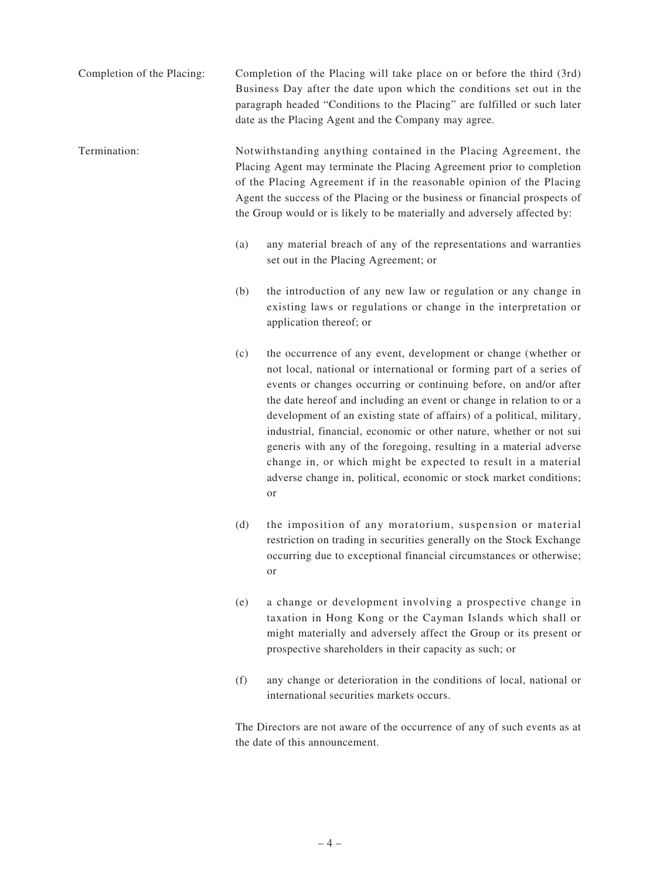Completion of the Placing: Completion of the Placing will take place on or before the third (3rd) Business Day after the date upon which the conditions set out in the paragraph headed "Conditions to the Placing" are fulfilled or such later date as the Placing Agent and the Company may agree.

Termination: Notwithstanding anything contained in the Placing Agreement, the Placing Agent may terminate the Placing Agreement prior to completion of the Placing Agreement if in the reasonable opinion of the Placing Agent the success of the Placing or the business or financial prospects of the Group would or is likely to be materially and adversely affected by:

- (a) any material breach of any of the representations and warranties set out in the Placing Agreement; or
- (b) the introduction of any new law or regulation or any change in existing laws or regulations or change in the interpretation or application thereof; or
- (c) the occurrence of any event, development or change (whether or not local, national or international or forming part of a series of events or changes occurring or continuing before, on and/or after the date hereof and including an event or change in relation to or a development of an existing state of affairs) of a political, military, industrial, financial, economic or other nature, whether or not sui generis with any of the foregoing, resulting in a material adverse change in, or which might be expected to result in a material adverse change in, political, economic or stock market conditions; or
- (d) the imposition of any moratorium, suspension or material restriction on trading in securities generally on the Stock Exchange occurring due to exceptional financial circumstances or otherwise; or
- (e) a change or development involving a prospective change in taxation in Hong Kong or the Cayman Islands which shall or might materially and adversely affect the Group or its present or prospective shareholders in their capacity as such; or
- (f) any change or deterioration in the conditions of local, national or international securities markets occurs.

The Directors are not aware of the occurrence of any of such events as at the date of this announcement.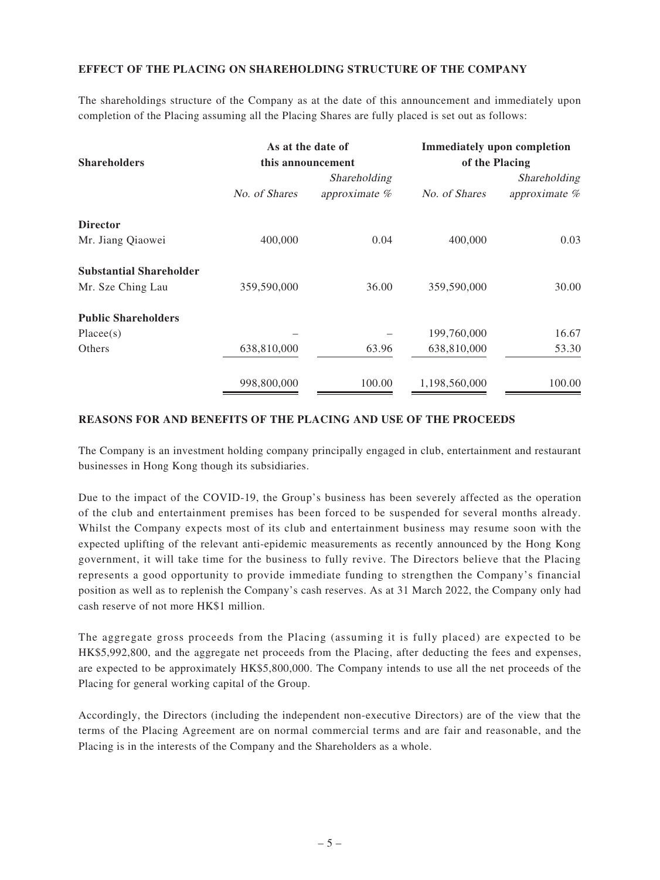## **EFFECT OF THE PLACING ON SHAREHOLDING STRUCTURE OF THE COMPANY**

The shareholdings structure of the Company as at the date of this announcement and immediately upon completion of the Placing assuming all the Placing Shares are fully placed is set out as follows:

|                                | As at the date of |               | <b>Immediately upon completion</b><br>of the Placing |               |
|--------------------------------|-------------------|---------------|------------------------------------------------------|---------------|
| <b>Shareholders</b>            | this announcement |               |                                                      |               |
|                                |                   | Shareholding  |                                                      | Shareholding  |
|                                | No. of Shares     | approximate % | No. of Shares                                        | approximate % |
| <b>Director</b>                |                   |               |                                                      |               |
| Mr. Jiang Qiaowei              | 400,000           | 0.04          | 400,000                                              | 0.03          |
| <b>Substantial Shareholder</b> |                   |               |                                                      |               |
| Mr. Sze Ching Lau              | 359,590,000       | 36.00         | 359,590,000                                          | 30.00         |
| <b>Public Shareholders</b>     |                   |               |                                                      |               |
| Placees(s)                     |                   |               | 199,760,000                                          | 16.67         |
| Others                         | 638,810,000       | 63.96         | 638,810,000                                          | 53.30         |
|                                | 998.800.000       | 100.00        | 1.198.560.000                                        | 100.00        |

#### **REASONS FOR AND BENEFITS OF THE PLACING AND USE OF THE PROCEEDS**

The Company is an investment holding company principally engaged in club, entertainment and restaurant businesses in Hong Kong though its subsidiaries.

Due to the impact of the COVID-19, the Group's business has been severely affected as the operation of the club and entertainment premises has been forced to be suspended for several months already. Whilst the Company expects most of its club and entertainment business may resume soon with the expected uplifting of the relevant anti-epidemic measurements as recently announced by the Hong Kong government, it will take time for the business to fully revive. The Directors believe that the Placing represents a good opportunity to provide immediate funding to strengthen the Company's financial position as well as to replenish the Company's cash reserves. As at 31 March 2022, the Company only had cash reserve of not more HK\$1 million.

The aggregate gross proceeds from the Placing (assuming it is fully placed) are expected to be HK\$5,992,800, and the aggregate net proceeds from the Placing, after deducting the fees and expenses, are expected to be approximately HK\$5,800,000. The Company intends to use all the net proceeds of the Placing for general working capital of the Group.

Accordingly, the Directors (including the independent non-executive Directors) are of the view that the terms of the Placing Agreement are on normal commercial terms and are fair and reasonable, and the Placing is in the interests of the Company and the Shareholders as a whole.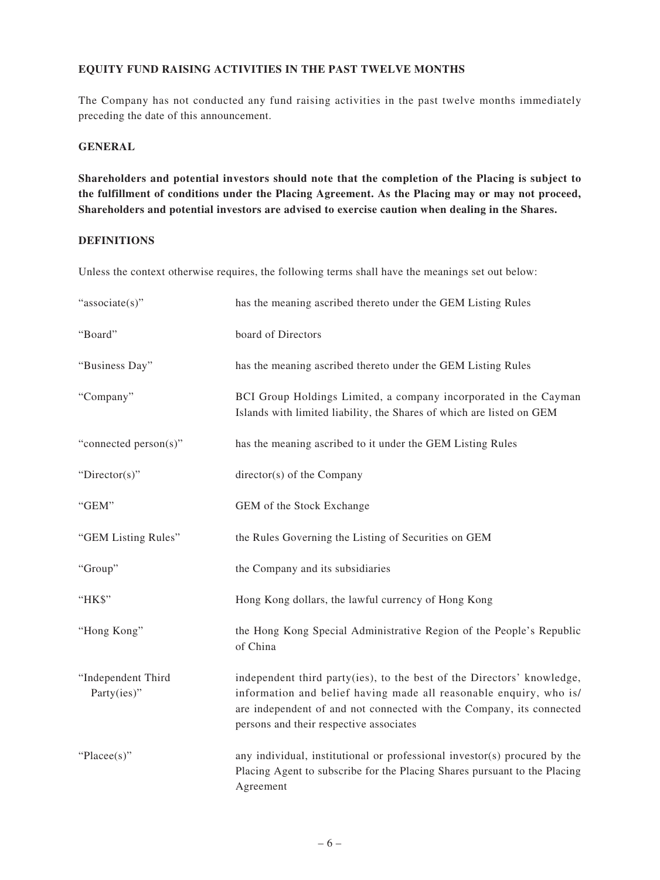## **EQUITY FUND RAISING ACTIVITIES IN THE PAST TWELVE MONTHS**

The Company has not conducted any fund raising activities in the past twelve months immediately preceding the date of this announcement.

#### **GENERAL**

**Shareholders and potential investors should note that the completion of the Placing is subject to the fulfillment of conditions under the Placing Agreement. As the Placing may or may not proceed, Shareholders and potential investors are advised to exercise caution when dealing in the Shares.**

#### **DEFINITIONS**

Unless the context otherwise requires, the following terms shall have the meanings set out below:

| "associate(s)"                    | has the meaning ascribed thereto under the GEM Listing Rules                                                                                                                                                                                                    |
|-----------------------------------|-----------------------------------------------------------------------------------------------------------------------------------------------------------------------------------------------------------------------------------------------------------------|
| "Board"                           | board of Directors                                                                                                                                                                                                                                              |
| "Business Day"                    | has the meaning ascribed thereto under the GEM Listing Rules                                                                                                                                                                                                    |
| "Company"                         | BCI Group Holdings Limited, a company incorporated in the Cayman<br>Islands with limited liability, the Shares of which are listed on GEM                                                                                                                       |
| "connected person(s)"             | has the meaning ascribed to it under the GEM Listing Rules                                                                                                                                                                                                      |
| "Director(s)"                     | director(s) of the Company                                                                                                                                                                                                                                      |
| "GEM"                             | GEM of the Stock Exchange                                                                                                                                                                                                                                       |
| "GEM Listing Rules"               | the Rules Governing the Listing of Securities on GEM                                                                                                                                                                                                            |
| "Group"                           | the Company and its subsidiaries                                                                                                                                                                                                                                |
| "HK\$"                            | Hong Kong dollars, the lawful currency of Hong Kong                                                                                                                                                                                                             |
| "Hong Kong"                       | the Hong Kong Special Administrative Region of the People's Republic<br>of China                                                                                                                                                                                |
| "Independent Third<br>Party(ies)" | independent third party(ies), to the best of the Directors' knowledge,<br>information and belief having made all reasonable enquiry, who is/<br>are independent of and not connected with the Company, its connected<br>persons and their respective associates |
| " $Place(s)$ "                    | any individual, institutional or professional investor(s) procured by the<br>Placing Agent to subscribe for the Placing Shares pursuant to the Placing<br>Agreement                                                                                             |